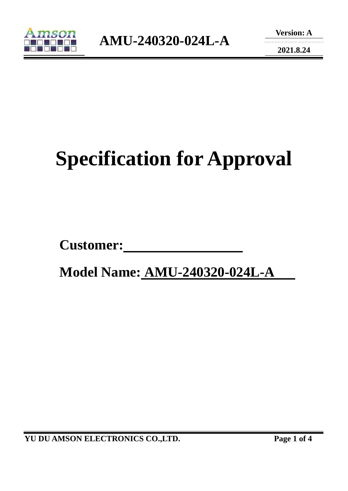

**2021.8.24** 

# **Specification for Approval**

Customer:

 **Model Name: AMU-240320-024L-A** 

**YU DU AMSON ELECTRONICS CO.,LTD. Page 1 of 4**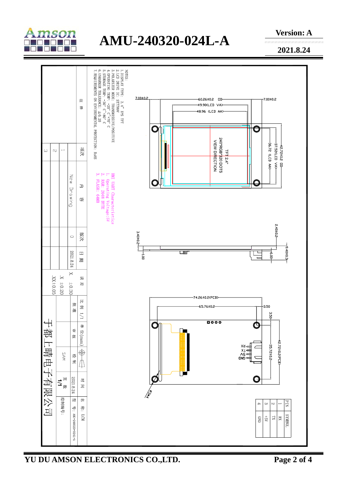

## **AMU-240320-024L-A**

**Version: A** 

**2021.8.24** 



**YU DU AMSON ELECTRONICS CO.,LTD. Page 2 of 4**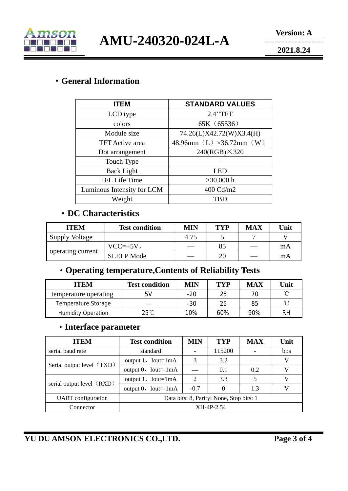

**AMU-240320-024L-A** 

**2021.8.24** 

#### ·**General Information**

| <b>ITEM</b>                | <b>STANDARD VALUES</b>   |  |  |  |
|----------------------------|--------------------------|--|--|--|
| LCD type                   | 2.4"TFT                  |  |  |  |
| colors                     | 65K (65536)              |  |  |  |
| Module size                | 74.26(L)X42.72(W)X3.4(H) |  |  |  |
| <b>TFT</b> Active area     | 48.96mm (L) ×36.72mm (W) |  |  |  |
| Dot arrangement            | $240(RGB) \times 320$    |  |  |  |
| Touch Type                 |                          |  |  |  |
| <b>Back Light</b>          | LED                      |  |  |  |
| <b>B/L</b> Life Time       | $>30,000$ h              |  |  |  |
| Luminous Intensity for LCM | 400 Cd/m2                |  |  |  |
| Weight                     | <b>TBD</b>               |  |  |  |

#### ·**DC Characteristics**

| <b>ITEM</b>           | <b>Test condition</b> | MIN  | <b>TYP</b> | <b>MAX</b> | Unit |
|-----------------------|-----------------------|------|------------|------------|------|
| <b>Supply Voltage</b> |                       | 4.75 |            |            |      |
| operating current     | $VCC=+5V,$            |      | 85         |            | mA   |
|                       | <b>SLEEP Mode</b>     |      | 20         |            | mA   |

### ·**Operating temperature,Contents of Reliability Tests**

| <b>ITEM</b>               | <b>Test condition</b> | <b>MIN</b> | TYP | <b>MAX</b> | Unit |
|---------------------------|-----------------------|------------|-----|------------|------|
| temperature operating     | 5V                    | $-20$      | 25  |            | ∽    |
| Temperature Storage       |                       | $-30$      | 25  | 85         | ∽    |
| <b>Humidity Operation</b> | $25^{\circ}$ C        | 10%        | 60% | 90%        | RH   |

#### ·**Interface parameter**

| <b>ITEM</b>               | <b>Test condition</b>                    | MIN                         | <b>TYP</b> | <b>MAX</b> | Unit |
|---------------------------|------------------------------------------|-----------------------------|------------|------------|------|
| serial baud rate          | standard                                 |                             | 115200     |            | bps  |
| Serial output level (TXD) | output $1$ , Iout=1mA                    | 3                           | 3.2        |            | V    |
|                           | output $0$ , Iout=-1mA                   |                             | 0.1        | 0.2        | V    |
| serial output level (RXD) | output $1$ , Iout=1mA                    | $\mathcal{D}_{\mathcal{L}}$ | 3.3        |            | V    |
|                           | output $0$ , Iout=-1mA                   | $-0.7$                      |            | 1.3        | V    |
| <b>UART</b> configuration | Data bits: 8, Parity: None, Stop bits: 1 |                             |            |            |      |
| Connector                 | XH-4P-2.54                               |                             |            |            |      |